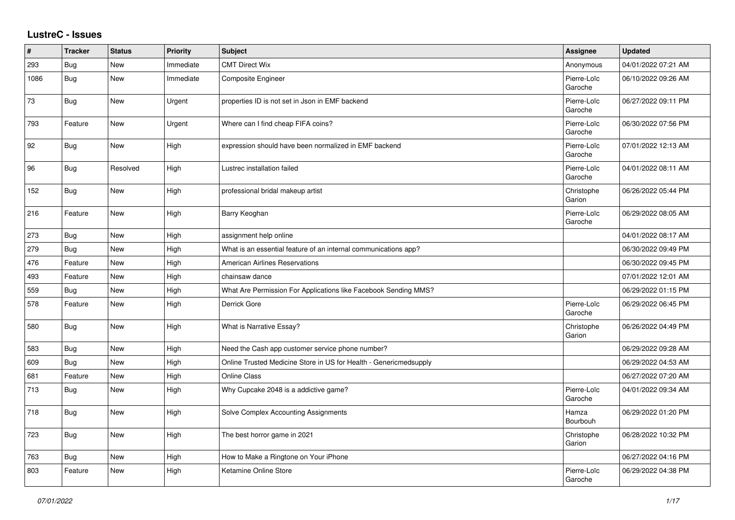## **LustreC - Issues**

| #    | <b>Tracker</b> | <b>Status</b> | <b>Priority</b> | <b>Subject</b>                                                    | <b>Assignee</b>        | <b>Updated</b>      |
|------|----------------|---------------|-----------------|-------------------------------------------------------------------|------------------------|---------------------|
| 293  | <b>Bug</b>     | New           | Immediate       | <b>CMT Direct Wix</b>                                             | Anonymous              | 04/01/2022 07:21 AM |
| 1086 | <b>Bug</b>     | New           | Immediate       | <b>Composite Engineer</b>                                         | Pierre-Loïc<br>Garoche | 06/10/2022 09:26 AM |
| 73   | Bug            | <b>New</b>    | Urgent          | properties ID is not set in Json in EMF backend                   | Pierre-Loïc<br>Garoche | 06/27/2022 09:11 PM |
| 793  | Feature        | New           | Urgent          | Where can I find cheap FIFA coins?                                | Pierre-Loïc<br>Garoche | 06/30/2022 07:56 PM |
| 92   | Bug            | <b>New</b>    | High            | expression should have been normalized in EMF backend             | Pierre-Loïc<br>Garoche | 07/01/2022 12:13 AM |
| 96   | Bug            | Resolved      | High            | Lustrec installation failed                                       | Pierre-Loïc<br>Garoche | 04/01/2022 08:11 AM |
| 152  | Bug            | <b>New</b>    | High            | professional bridal makeup artist                                 | Christophe<br>Garion   | 06/26/2022 05:44 PM |
| 216  | Feature        | <b>New</b>    | High            | Barry Keoghan                                                     | Pierre-Loïc<br>Garoche | 06/29/2022 08:05 AM |
| 273  | Bug            | New           | High            | assignment help online                                            |                        | 04/01/2022 08:17 AM |
| 279  | Bug            | <b>New</b>    | High            | What is an essential feature of an internal communications app?   |                        | 06/30/2022 09:49 PM |
| 476  | Feature        | New           | High            | <b>American Airlines Reservations</b>                             |                        | 06/30/2022 09:45 PM |
| 493  | Feature        | <b>New</b>    | High            | chainsaw dance                                                    |                        | 07/01/2022 12:01 AM |
| 559  | <b>Bug</b>     | New           | High            | What Are Permission For Applications like Facebook Sending MMS?   |                        | 06/29/2022 01:15 PM |
| 578  | Feature        | New           | High            | Derrick Gore                                                      | Pierre-Loïc<br>Garoche | 06/29/2022 06:45 PM |
| 580  | Bug            | <b>New</b>    | High            | What is Narrative Essay?                                          | Christophe<br>Garion   | 06/26/2022 04:49 PM |
| 583  | Bug            | <b>New</b>    | High            | Need the Cash app customer service phone number?                  |                        | 06/29/2022 09:28 AM |
| 609  | <b>Bug</b>     | New           | High            | Online Trusted Medicine Store in US for Health - Genericmedsupply |                        | 06/29/2022 04:53 AM |
| 681  | Feature        | <b>New</b>    | High            | <b>Online Class</b>                                               |                        | 06/27/2022 07:20 AM |
| 713  | Bug            | <b>New</b>    | High            | Why Cupcake 2048 is a addictive game?                             | Pierre-Loïc<br>Garoche | 04/01/2022 09:34 AM |
| 718  | Bug            | New           | High            | Solve Complex Accounting Assignments                              | Hamza<br>Bourbouh      | 06/29/2022 01:20 PM |
| 723  | <b>Bug</b>     | New           | High            | The best horror game in 2021                                      | Christophe<br>Garion   | 06/28/2022 10:32 PM |
| 763  | <b>Bug</b>     | New           | High            | How to Make a Ringtone on Your iPhone                             |                        | 06/27/2022 04:16 PM |
| 803  | Feature        | <b>New</b>    | High            | Ketamine Online Store                                             | Pierre-Loïc<br>Garoche | 06/29/2022 04:38 PM |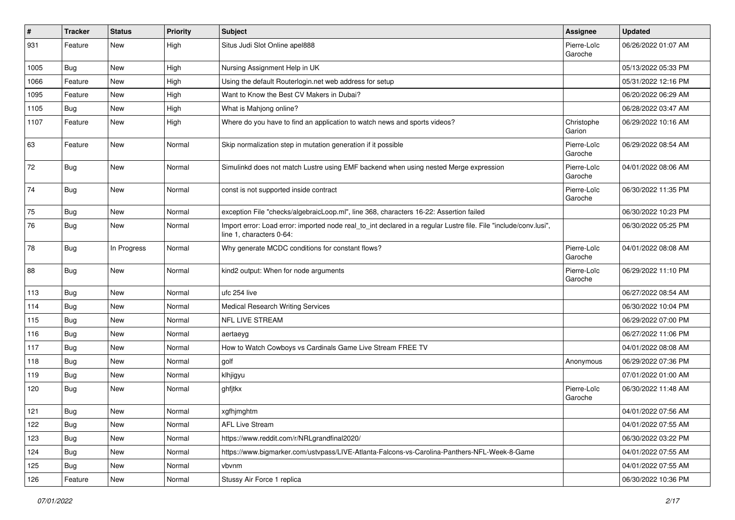| $\sharp$ | <b>Tracker</b> | <b>Status</b> | <b>Priority</b> | <b>Subject</b>                                                                                                                               | Assignee               | <b>Updated</b>      |
|----------|----------------|---------------|-----------------|----------------------------------------------------------------------------------------------------------------------------------------------|------------------------|---------------------|
| 931      | Feature        | New           | High            | Situs Judi Slot Online apel888                                                                                                               | Pierre-Loïc<br>Garoche | 06/26/2022 01:07 AM |
| 1005     | Bug            | New           | High            | Nursing Assignment Help in UK                                                                                                                |                        | 05/13/2022 05:33 PM |
| 1066     | Feature        | New           | High            | Using the default Routerlogin.net web address for setup                                                                                      |                        | 05/31/2022 12:16 PM |
| 1095     | Feature        | New           | High            | Want to Know the Best CV Makers in Dubai?                                                                                                    |                        | 06/20/2022 06:29 AM |
| 1105     | Bug            | New           | High            | What is Mahjong online?                                                                                                                      |                        | 06/28/2022 03:47 AM |
| 1107     | Feature        | New           | High            | Where do you have to find an application to watch news and sports videos?                                                                    | Christophe<br>Garion   | 06/29/2022 10:16 AM |
| 63       | Feature        | New           | Normal          | Skip normalization step in mutation generation if it possible                                                                                | Pierre-Loïc<br>Garoche | 06/29/2022 08:54 AM |
| 72       | Bug            | New           | Normal          | Simulinkd does not match Lustre using EMF backend when using nested Merge expression                                                         | Pierre-Loïc<br>Garoche | 04/01/2022 08:06 AM |
| 74       | Bug            | New           | Normal          | const is not supported inside contract                                                                                                       | Pierre-Loïc<br>Garoche | 06/30/2022 11:35 PM |
| 75       | Bug            | New           | Normal          | exception File "checks/algebraicLoop.ml", line 368, characters 16-22: Assertion failed                                                       |                        | 06/30/2022 10:23 PM |
| 76       | Bug            | New           | Normal          | Import error: Load error: imported node real_to_int declared in a regular Lustre file. File "include/conv.lusi",<br>line 1, characters 0-64: |                        | 06/30/2022 05:25 PM |
| 78       | <b>Bug</b>     | In Progress   | Normal          | Why generate MCDC conditions for constant flows?                                                                                             | Pierre-Loïc<br>Garoche | 04/01/2022 08:08 AM |
| 88       | Bug            | New           | Normal          | kind2 output: When for node arguments                                                                                                        | Pierre-Loïc<br>Garoche | 06/29/2022 11:10 PM |
| 113      | Bug            | New           | Normal          | ufc 254 live                                                                                                                                 |                        | 06/27/2022 08:54 AM |
| 114      | Bug            | New           | Normal          | <b>Medical Research Writing Services</b>                                                                                                     |                        | 06/30/2022 10:04 PM |
| 115      | Bug            | New           | Normal          | <b>NFL LIVE STREAM</b>                                                                                                                       |                        | 06/29/2022 07:00 PM |
| 116      | <b>Bug</b>     | New           | Normal          | aertaeyg                                                                                                                                     |                        | 06/27/2022 11:06 PM |
| 117      | Bug            | New           | Normal          | How to Watch Cowboys vs Cardinals Game Live Stream FREE TV                                                                                   |                        | 04/01/2022 08:08 AM |
| 118      | Bug            | New           | Normal          | golf                                                                                                                                         | Anonymous              | 06/29/2022 07:36 PM |
| 119      | Bug            | New           | Normal          | klhjigyu                                                                                                                                     |                        | 07/01/2022 01:00 AM |
| 120      | Bug            | New           | Normal          | ghfjtkx                                                                                                                                      | Pierre-Loïc<br>Garoche | 06/30/2022 11:48 AM |
| 121      | Bug            | New           | Normal          | xgfhjmghtm                                                                                                                                   |                        | 04/01/2022 07:56 AM |
| 122      | Bug            | New           | Normal          | <b>AFL Live Stream</b>                                                                                                                       |                        | 04/01/2022 07:55 AM |
| 123      | Bug            | New           | Normal          | https://www.reddit.com/r/NRLgrandfinal2020/                                                                                                  |                        | 06/30/2022 03:22 PM |
| 124      | Bug            | New           | Normal          | https://www.bigmarker.com/ustvpass/LIVE-Atlanta-Falcons-vs-Carolina-Panthers-NFL-Week-8-Game                                                 |                        | 04/01/2022 07:55 AM |
| 125      | Bug            | New           | Normal          | vbvnm                                                                                                                                        |                        | 04/01/2022 07:55 AM |
| 126      | Feature        | New           | Normal          | Stussy Air Force 1 replica                                                                                                                   |                        | 06/30/2022 10:36 PM |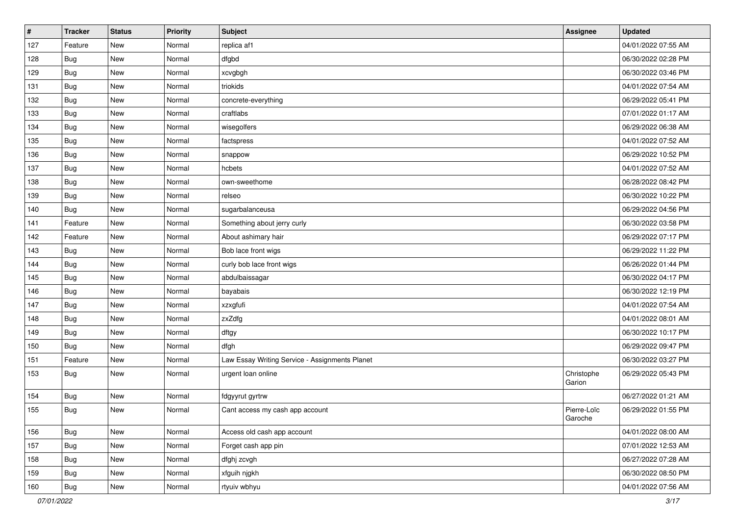| $\vert$ # | <b>Tracker</b> | <b>Status</b> | <b>Priority</b> | <b>Subject</b>                                 | Assignee               | <b>Updated</b>      |
|-----------|----------------|---------------|-----------------|------------------------------------------------|------------------------|---------------------|
| 127       | Feature        | New           | Normal          | replica af1                                    |                        | 04/01/2022 07:55 AM |
| 128       | Bug            | New           | Normal          | dfgbd                                          |                        | 06/30/2022 02:28 PM |
| 129       | Bug            | New           | Normal          | xcvgbgh                                        |                        | 06/30/2022 03:46 PM |
| 131       | <b>Bug</b>     | New           | Normal          | triokids                                       |                        | 04/01/2022 07:54 AM |
| 132       | <b>Bug</b>     | New           | Normal          | concrete-everything                            |                        | 06/29/2022 05:41 PM |
| 133       | Bug            | New           | Normal          | craftlabs                                      |                        | 07/01/2022 01:17 AM |
| 134       | Bug            | New           | Normal          | wisegolfers                                    |                        | 06/29/2022 06:38 AM |
| 135       | Bug            | New           | Normal          | factspress                                     |                        | 04/01/2022 07:52 AM |
| 136       | Bug            | New           | Normal          | snappow                                        |                        | 06/29/2022 10:52 PM |
| 137       | <b>Bug</b>     | New           | Normal          | hcbets                                         |                        | 04/01/2022 07:52 AM |
| 138       | Bug            | New           | Normal          | own-sweethome                                  |                        | 06/28/2022 08:42 PM |
| 139       | Bug            | New           | Normal          | relseo                                         |                        | 06/30/2022 10:22 PM |
| 140       | Bug            | New           | Normal          | sugarbalanceusa                                |                        | 06/29/2022 04:56 PM |
| 141       | Feature        | New           | Normal          | Something about jerry curly                    |                        | 06/30/2022 03:58 PM |
| 142       | Feature        | New           | Normal          | About ashimary hair                            |                        | 06/29/2022 07:17 PM |
| 143       | Bug            | New           | Normal          | Bob lace front wigs                            |                        | 06/29/2022 11:22 PM |
| 144       | Bug            | New           | Normal          | curly bob lace front wigs                      |                        | 06/26/2022 01:44 PM |
| 145       | Bug            | New           | Normal          | abdulbaissagar                                 |                        | 06/30/2022 04:17 PM |
| 146       | <b>Bug</b>     | New           | Normal          | bayabais                                       |                        | 06/30/2022 12:19 PM |
| 147       | Bug            | New           | Normal          | xzxgfufi                                       |                        | 04/01/2022 07:54 AM |
| 148       | Bug            | New           | Normal          | zxZdfg                                         |                        | 04/01/2022 08:01 AM |
| 149       | Bug            | New           | Normal          | dftgy                                          |                        | 06/30/2022 10:17 PM |
| 150       | Bug            | New           | Normal          | dfgh                                           |                        | 06/29/2022 09:47 PM |
| 151       | Feature        | New           | Normal          | Law Essay Writing Service - Assignments Planet |                        | 06/30/2022 03:27 PM |
| 153       | Bug            | New           | Normal          | urgent loan online                             | Christophe<br>Garion   | 06/29/2022 05:43 PM |
| 154       | <b>Bug</b>     | New           | Normal          | fdgyyrut gyrtrw                                |                        | 06/27/2022 01:21 AM |
| 155       | Bug            | New           | Normal          | Cant access my cash app account                | Pierre-Loïc<br>Garoche | 06/29/2022 01:55 PM |
| 156       | <b>Bug</b>     | New           | Normal          | Access old cash app account                    |                        | 04/01/2022 08:00 AM |
| 157       | <b>Bug</b>     | New           | Normal          | Forget cash app pin                            |                        | 07/01/2022 12:53 AM |
| 158       | <b>Bug</b>     | New           | Normal          | dfghj zcvgh                                    |                        | 06/27/2022 07:28 AM |
| 159       | <b>Bug</b>     | New           | Normal          | xfguih njgkh                                   |                        | 06/30/2022 08:50 PM |
| 160       | <b>Bug</b>     | New           | Normal          | rtyuiv wbhyu                                   |                        | 04/01/2022 07:56 AM |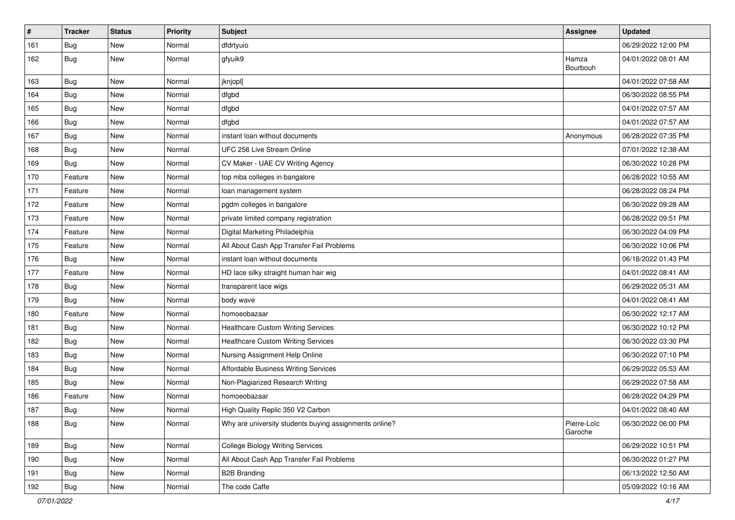| $\vert$ # | <b>Tracker</b> | <b>Status</b> | <b>Priority</b> | <b>Subject</b>                                         | Assignee               | <b>Updated</b>      |
|-----------|----------------|---------------|-----------------|--------------------------------------------------------|------------------------|---------------------|
| 161       | <b>Bug</b>     | New           | Normal          | dfdrtyuio                                              |                        | 06/29/2022 12:00 PM |
| 162       | Bug            | New           | Normal          | gfyuik9                                                | Hamza<br>Bourbouh      | 04/01/2022 08:01 AM |
| 163       | Bug            | New           | Normal          | jknjopl[                                               |                        | 04/01/2022 07:58 AM |
| 164       | Bug            | New           | Normal          | dfgbd                                                  |                        | 06/30/2022 08:55 PM |
| 165       | Bug            | New           | Normal          | dfgbd                                                  |                        | 04/01/2022 07:57 AM |
| 166       | Bug            | New           | Normal          | dfgbd                                                  |                        | 04/01/2022 07:57 AM |
| 167       | <b>Bug</b>     | New           | Normal          | instant loan without documents                         | Anonymous              | 06/28/2022 07:35 PM |
| 168       | <b>Bug</b>     | New           | Normal          | UFC 256 Live Stream Online                             |                        | 07/01/2022 12:38 AM |
| 169       | Bug            | New           | Normal          | CV Maker - UAE CV Writing Agency                       |                        | 06/30/2022 10:28 PM |
| 170       | Feature        | New           | Normal          | top mba colleges in bangalore                          |                        | 06/28/2022 10:55 AM |
| 171       | Feature        | New           | Normal          | loan management system                                 |                        | 06/28/2022 08:24 PM |
| 172       | Feature        | New           | Normal          | pgdm colleges in bangalore                             |                        | 06/30/2022 09:28 AM |
| 173       | Feature        | New           | Normal          | private limited company registration                   |                        | 06/28/2022 09:51 PM |
| 174       | Feature        | New           | Normal          | Digital Marketing Philadelphia                         |                        | 06/30/2022 04:09 PM |
| 175       | Feature        | New           | Normal          | All About Cash App Transfer Fail Problems              |                        | 06/30/2022 10:06 PM |
| 176       | <b>Bug</b>     | New           | Normal          | instant loan without documents                         |                        | 06/18/2022 01:43 PM |
| 177       | Feature        | New           | Normal          | HD lace silky straight human hair wig                  |                        | 04/01/2022 08:41 AM |
| 178       | Bug            | New           | Normal          | transparent lace wigs                                  |                        | 06/29/2022 05:31 AM |
| 179       | Bug            | New           | Normal          | body wave                                              |                        | 04/01/2022 08:41 AM |
| 180       | Feature        | New           | Normal          | homoeobazaar                                           |                        | 06/30/2022 12:17 AM |
| 181       | Bug            | New           | Normal          | <b>Healthcare Custom Writing Services</b>              |                        | 06/30/2022 10:12 PM |
| 182       | Bug            | New           | Normal          | <b>Healthcare Custom Writing Services</b>              |                        | 06/30/2022 03:30 PM |
| 183       | Bug            | New           | Normal          | Nursing Assignment Help Online                         |                        | 06/30/2022 07:10 PM |
| 184       | <b>Bug</b>     | <b>New</b>    | Normal          | Affordable Business Writing Services                   |                        | 06/29/2022 05:53 AM |
| 185       | Bug            | <b>New</b>    | Normal          | Non-Plagiarized Research Writing                       |                        | 06/29/2022 07:58 AM |
| 186       | Feature        | New           | Normal          | homoeobazaar                                           |                        | 06/28/2022 04:29 PM |
| 187       | Bug            | New           | Normal          | High Quality Replic 350 V2 Carbon                      |                        | 04/01/2022 08:40 AM |
| 188       | <b>Bug</b>     | New           | Normal          | Why are university students buying assignments online? | Pierre-Loïc<br>Garoche | 06/30/2022 06:00 PM |
| 189       | <b>Bug</b>     | New           | Normal          | <b>College Biology Writing Services</b>                |                        | 06/29/2022 10:51 PM |
| 190       | <b>Bug</b>     | New           | Normal          | All About Cash App Transfer Fail Problems              |                        | 06/30/2022 01:27 PM |
| 191       | <b>Bug</b>     | New           | Normal          | <b>B2B Branding</b>                                    |                        | 06/13/2022 12:50 AM |
| 192       | Bug            | New           | Normal          | The code Caffe                                         |                        | 05/09/2022 10:16 AM |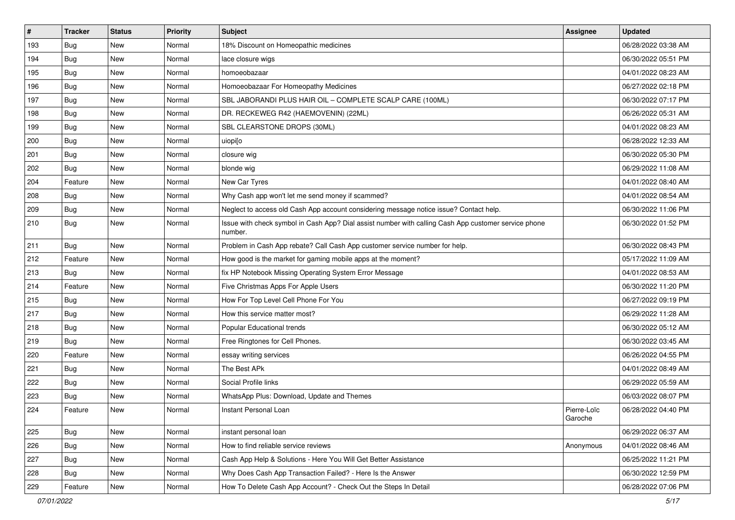| $\sharp$ | <b>Tracker</b> | <b>Status</b> | Priority | <b>Subject</b>                                                                                                  | Assignee               | <b>Updated</b>      |
|----------|----------------|---------------|----------|-----------------------------------------------------------------------------------------------------------------|------------------------|---------------------|
| 193      | Bug            | New           | Normal   | 18% Discount on Homeopathic medicines                                                                           |                        | 06/28/2022 03:38 AM |
| 194      | Bug            | <b>New</b>    | Normal   | lace closure wigs                                                                                               |                        | 06/30/2022 05:51 PM |
| 195      | Bug            | New           | Normal   | homoeobazaar                                                                                                    |                        | 04/01/2022 08:23 AM |
| 196      | Bug            | New           | Normal   | Homoeobazaar For Homeopathy Medicines                                                                           |                        | 06/27/2022 02:18 PM |
| 197      | Bug            | <b>New</b>    | Normal   | SBL JABORANDI PLUS HAIR OIL - COMPLETE SCALP CARE (100ML)                                                       |                        | 06/30/2022 07:17 PM |
| 198      | Bug            | New           | Normal   | DR. RECKEWEG R42 (HAEMOVENIN) (22ML)                                                                            |                        | 06/26/2022 05:31 AM |
| 199      | Bug            | <b>New</b>    | Normal   | SBL CLEARSTONE DROPS (30ML)                                                                                     |                        | 04/01/2022 08:23 AM |
| 200      | Bug            | New           | Normal   | uiopi[o                                                                                                         |                        | 06/28/2022 12:33 AM |
| 201      | Bug            | <b>New</b>    | Normal   | closure wig                                                                                                     |                        | 06/30/2022 05:30 PM |
| 202      | Bug            | <b>New</b>    | Normal   | blonde wig                                                                                                      |                        | 06/29/2022 11:08 AM |
| 204      | Feature        | New           | Normal   | New Car Tyres                                                                                                   |                        | 04/01/2022 08:40 AM |
| 208      | Bug            | New           | Normal   | Why Cash app won't let me send money if scammed?                                                                |                        | 04/01/2022 08:54 AM |
| 209      | Bug            | <b>New</b>    | Normal   | Neglect to access old Cash App account considering message notice issue? Contact help.                          |                        | 06/30/2022 11:06 PM |
| 210      | Bug            | New           | Normal   | Issue with check symbol in Cash App? Dial assist number with calling Cash App customer service phone<br>number. |                        | 06/30/2022 01:52 PM |
| 211      | Bug            | New           | Normal   | Problem in Cash App rebate? Call Cash App customer service number for help.                                     |                        | 06/30/2022 08:43 PM |
| 212      | Feature        | <b>New</b>    | Normal   | How good is the market for gaming mobile apps at the moment?                                                    |                        | 05/17/2022 11:09 AM |
| 213      | Bug            | New           | Normal   | fix HP Notebook Missing Operating System Error Message                                                          |                        | 04/01/2022 08:53 AM |
| 214      | Feature        | New           | Normal   | Five Christmas Apps For Apple Users                                                                             |                        | 06/30/2022 11:20 PM |
| 215      | Bug            | <b>New</b>    | Normal   | How For Top Level Cell Phone For You                                                                            |                        | 06/27/2022 09:19 PM |
| 217      | Bug            | <b>New</b>    | Normal   | How this service matter most?                                                                                   |                        | 06/29/2022 11:28 AM |
| 218      | Bug            | <b>New</b>    | Normal   | Popular Educational trends                                                                                      |                        | 06/30/2022 05:12 AM |
| 219      | Bug            | <b>New</b>    | Normal   | Free Ringtones for Cell Phones.                                                                                 |                        | 06/30/2022 03:45 AM |
| 220      | Feature        | New           | Normal   | essay writing services                                                                                          |                        | 06/26/2022 04:55 PM |
| 221      | Bug            | <b>New</b>    | Normal   | The Best APk                                                                                                    |                        | 04/01/2022 08:49 AM |
| 222      | Bug            | <b>New</b>    | Normal   | Social Profile links                                                                                            |                        | 06/29/2022 05:59 AM |
| 223      | <b>Bug</b>     | New           | Normal   | WhatsApp Plus: Download, Update and Themes                                                                      |                        | 06/03/2022 08:07 PM |
| 224      | Feature        | <b>New</b>    | Normal   | Instant Personal Loan                                                                                           | Pierre-Loïc<br>Garoche | 06/28/2022 04:40 PM |
| 225      | Bug            | New           | Normal   | instant personal loan                                                                                           |                        | 06/29/2022 06:37 AM |
| 226      | Bug            | New           | Normal   | How to find reliable service reviews                                                                            | Anonymous              | 04/01/2022 08:46 AM |
| 227      | Bug            | New           | Normal   | Cash App Help & Solutions - Here You Will Get Better Assistance                                                 |                        | 06/25/2022 11:21 PM |
| 228      | Bug            | New           | Normal   | Why Does Cash App Transaction Failed? - Here Is the Answer                                                      |                        | 06/30/2022 12:59 PM |
| 229      | Feature        | New           | Normal   | How To Delete Cash App Account? - Check Out the Steps In Detail                                                 |                        | 06/28/2022 07:06 PM |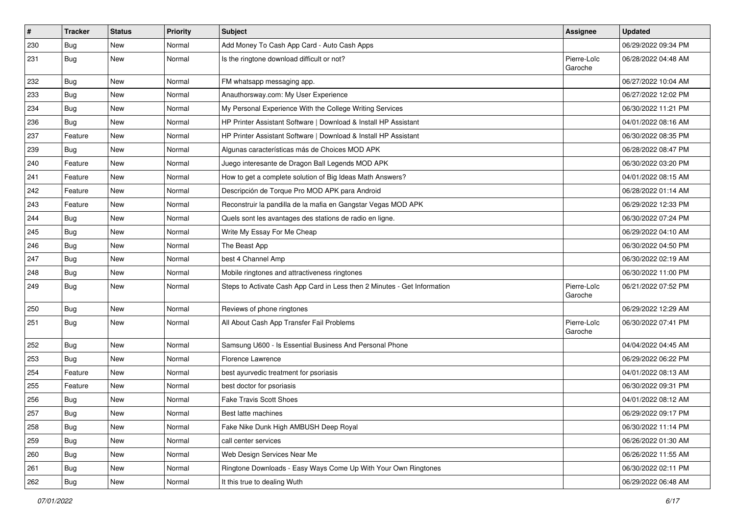| $\vert$ # | <b>Tracker</b> | <b>Status</b> | <b>Priority</b> | <b>Subject</b>                                                           | Assignee               | <b>Updated</b>      |
|-----------|----------------|---------------|-----------------|--------------------------------------------------------------------------|------------------------|---------------------|
| 230       | <b>Bug</b>     | New           | Normal          | Add Money To Cash App Card - Auto Cash Apps                              |                        | 06/29/2022 09:34 PM |
| 231       | Bug            | New           | Normal          | Is the ringtone download difficult or not?                               | Pierre-Loïc<br>Garoche | 06/28/2022 04:48 AM |
| 232       | Bug            | <b>New</b>    | Normal          | FM whatsapp messaging app.                                               |                        | 06/27/2022 10:04 AM |
| 233       | <b>Bug</b>     | <b>New</b>    | Normal          | Anauthorsway.com: My User Experience                                     |                        | 06/27/2022 12:02 PM |
| 234       | Bug            | New           | Normal          | My Personal Experience With the College Writing Services                 |                        | 06/30/2022 11:21 PM |
| 236       | Bug            | <b>New</b>    | Normal          | HP Printer Assistant Software   Download & Install HP Assistant          |                        | 04/01/2022 08:16 AM |
| 237       | Feature        | New           | Normal          | HP Printer Assistant Software   Download & Install HP Assistant          |                        | 06/30/2022 08:35 PM |
| 239       | Bug            | <b>New</b>    | Normal          | Algunas características más de Choices MOD APK                           |                        | 06/28/2022 08:47 PM |
| 240       | Feature        | New           | Normal          | Juego interesante de Dragon Ball Legends MOD APK                         |                        | 06/30/2022 03:20 PM |
| 241       | Feature        | New           | Normal          | How to get a complete solution of Big Ideas Math Answers?                |                        | 04/01/2022 08:15 AM |
| 242       | Feature        | New           | Normal          | Descripción de Torque Pro MOD APK para Android                           |                        | 06/28/2022 01:14 AM |
| 243       | Feature        | New           | Normal          | Reconstruir la pandilla de la mafia en Gangstar Vegas MOD APK            |                        | 06/29/2022 12:33 PM |
| 244       | <b>Bug</b>     | New           | Normal          | Quels sont les avantages des stations de radio en ligne.                 |                        | 06/30/2022 07:24 PM |
| 245       | <b>Bug</b>     | <b>New</b>    | Normal          | Write My Essay For Me Cheap                                              |                        | 06/29/2022 04:10 AM |
| 246       | Bug            | New           | Normal          | The Beast App                                                            |                        | 06/30/2022 04:50 PM |
| 247       | Bug            | New           | Normal          | best 4 Channel Amp                                                       |                        | 06/30/2022 02:19 AM |
| 248       | Bug            | New           | Normal          | Mobile ringtones and attractiveness ringtones                            |                        | 06/30/2022 11:00 PM |
| 249       | Bug            | New           | Normal          | Steps to Activate Cash App Card in Less then 2 Minutes - Get Information | Pierre-Loïc<br>Garoche | 06/21/2022 07:52 PM |
| 250       | Bug            | New           | Normal          | Reviews of phone ringtones                                               |                        | 06/29/2022 12:29 AM |
| 251       | Bug            | <b>New</b>    | Normal          | All About Cash App Transfer Fail Problems                                | Pierre-Loïc<br>Garoche | 06/30/2022 07:41 PM |
| 252       | Bug            | New           | Normal          | Samsung U600 - Is Essential Business And Personal Phone                  |                        | 04/04/2022 04:45 AM |
| 253       | Bug            | <b>New</b>    | Normal          | Florence Lawrence                                                        |                        | 06/29/2022 06:22 PM |
| 254       | Feature        | New           | Normal          | best ayurvedic treatment for psoriasis                                   |                        | 04/01/2022 08:13 AM |
| 255       | Feature        | New           | Normal          | best doctor for psoriasis                                                |                        | 06/30/2022 09:31 PM |
| 256       | Bug            | <b>New</b>    | Normal          | <b>Fake Travis Scott Shoes</b>                                           |                        | 04/01/2022 08:12 AM |
| 257       | Bug            | New           | Normal          | Best latte machines                                                      |                        | 06/29/2022 09:17 PM |
| 258       | Bug            | New           | Normal          | Fake Nike Dunk High AMBUSH Deep Royal                                    |                        | 06/30/2022 11:14 PM |
| 259       | Bug            | New           | Normal          | call center services                                                     |                        | 06/26/2022 01:30 AM |
| 260       | <b>Bug</b>     | New           | Normal          | Web Design Services Near Me                                              |                        | 06/26/2022 11:55 AM |
| 261       | Bug            | New           | Normal          | Ringtone Downloads - Easy Ways Come Up With Your Own Ringtones           |                        | 06/30/2022 02:11 PM |
| 262       | <b>Bug</b>     | New           | Normal          | It this true to dealing Wuth                                             |                        | 06/29/2022 06:48 AM |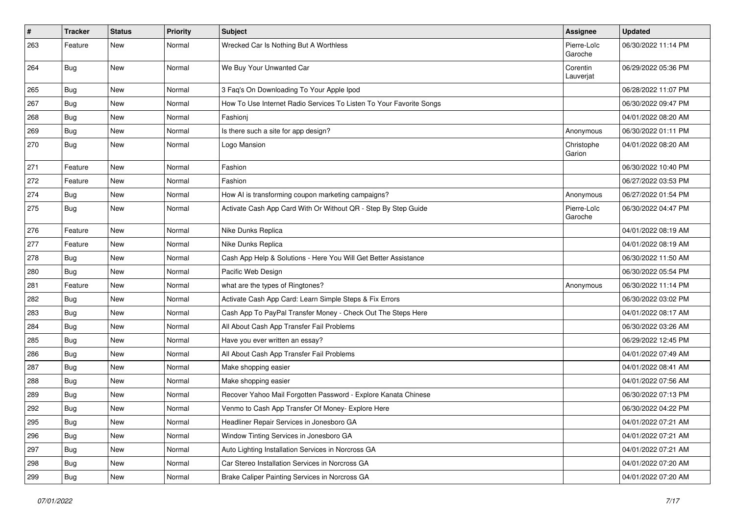| #   | <b>Tracker</b> | <b>Status</b> | <b>Priority</b> | <b>Subject</b>                                                      | <b>Assignee</b>        | <b>Updated</b>      |
|-----|----------------|---------------|-----------------|---------------------------------------------------------------------|------------------------|---------------------|
| 263 | Feature        | New           | Normal          | Wrecked Car Is Nothing But A Worthless                              | Pierre-Loïc<br>Garoche | 06/30/2022 11:14 PM |
| 264 | Bug            | <b>New</b>    | Normal          | We Buy Your Unwanted Car                                            | Corentin<br>Lauverjat  | 06/29/2022 05:36 PM |
| 265 | Bug            | <b>New</b>    | Normal          | 3 Faq's On Downloading To Your Apple Ipod                           |                        | 06/28/2022 11:07 PM |
| 267 | Bug            | New           | Normal          | How To Use Internet Radio Services To Listen To Your Favorite Songs |                        | 06/30/2022 09:47 PM |
| 268 | Bug            | <b>New</b>    | Normal          | Fashionj                                                            |                        | 04/01/2022 08:20 AM |
| 269 | Bug            | New           | Normal          | Is there such a site for app design?                                | Anonymous              | 06/30/2022 01:11 PM |
| 270 | Bug            | <b>New</b>    | Normal          | Logo Mansion                                                        | Christophe<br>Garion   | 04/01/2022 08:20 AM |
| 271 | Feature        | New           | Normal          | Fashion                                                             |                        | 06/30/2022 10:40 PM |
| 272 | Feature        | <b>New</b>    | Normal          | Fashion                                                             |                        | 06/27/2022 03:53 PM |
| 274 | Bug            | <b>New</b>    | Normal          | How AI is transforming coupon marketing campaigns?                  | Anonymous              | 06/27/2022 01:54 PM |
| 275 | Bug            | New           | Normal          | Activate Cash App Card With Or Without QR - Step By Step Guide      | Pierre-Loïc<br>Garoche | 06/30/2022 04:47 PM |
| 276 | Feature        | <b>New</b>    | Normal          | Nike Dunks Replica                                                  |                        | 04/01/2022 08:19 AM |
| 277 | Feature        | <b>New</b>    | Normal          | Nike Dunks Replica                                                  |                        | 04/01/2022 08:19 AM |
| 278 | Bug            | <b>New</b>    | Normal          | Cash App Help & Solutions - Here You Will Get Better Assistance     |                        | 06/30/2022 11:50 AM |
| 280 | Bug            | New           | Normal          | Pacific Web Design                                                  |                        | 06/30/2022 05:54 PM |
| 281 | Feature        | <b>New</b>    | Normal          | what are the types of Ringtones?                                    | Anonymous              | 06/30/2022 11:14 PM |
| 282 | Bug            | New           | Normal          | Activate Cash App Card: Learn Simple Steps & Fix Errors             |                        | 06/30/2022 03:02 PM |
| 283 | Bug            | New           | Normal          | Cash App To PayPal Transfer Money - Check Out The Steps Here        |                        | 04/01/2022 08:17 AM |
| 284 | Bug            | <b>New</b>    | Normal          | All About Cash App Transfer Fail Problems                           |                        | 06/30/2022 03:26 AM |
| 285 | Bug            | New           | Normal          | Have you ever written an essay?                                     |                        | 06/29/2022 12:45 PM |
| 286 | Bug            | <b>New</b>    | Normal          | All About Cash App Transfer Fail Problems                           |                        | 04/01/2022 07:49 AM |
| 287 | <b>Bug</b>     | <b>New</b>    | Normal          | Make shopping easier                                                |                        | 04/01/2022 08:41 AM |
| 288 | Bug            | <b>New</b>    | Normal          | Make shopping easier                                                |                        | 04/01/2022 07:56 AM |
| 289 | Bug            | <b>New</b>    | Normal          | Recover Yahoo Mail Forgotten Password - Explore Kanata Chinese      |                        | 06/30/2022 07:13 PM |
| 292 | Bug            | New           | Normal          | Venmo to Cash App Transfer Of Money- Explore Here                   |                        | 06/30/2022 04:22 PM |
| 295 | <b>Bug</b>     | New           | Normal          | Headliner Repair Services in Jonesboro GA                           |                        | 04/01/2022 07:21 AM |
| 296 | <b>Bug</b>     | <b>New</b>    | Normal          | Window Tinting Services in Jonesboro GA                             |                        | 04/01/2022 07:21 AM |
| 297 | Bug            | New           | Normal          | Auto Lighting Installation Services in Norcross GA                  |                        | 04/01/2022 07:21 AM |
| 298 | Bug            | New           | Normal          | Car Stereo Installation Services in Norcross GA                     |                        | 04/01/2022 07:20 AM |
| 299 | Bug            | New           | Normal          | Brake Caliper Painting Services in Norcross GA                      |                        | 04/01/2022 07:20 AM |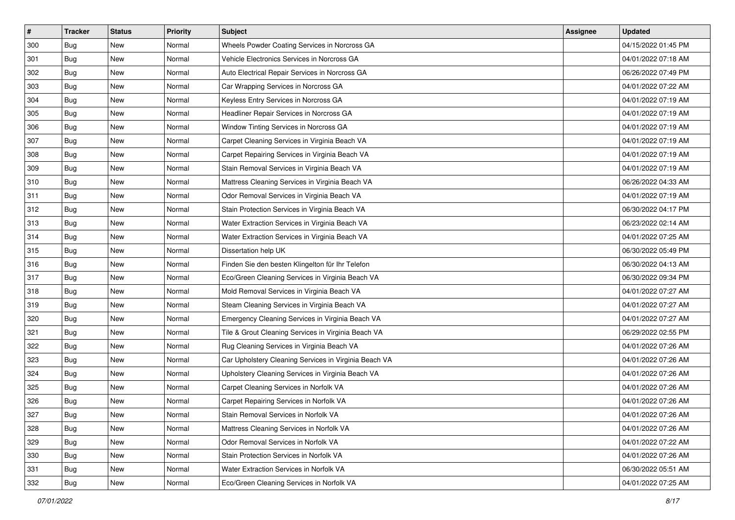| $\sharp$ | <b>Tracker</b> | <b>Status</b> | <b>Priority</b> | Subject                                               | <b>Assignee</b> | <b>Updated</b>      |
|----------|----------------|---------------|-----------------|-------------------------------------------------------|-----------------|---------------------|
| 300      | Bug            | New           | Normal          | Wheels Powder Coating Services in Norcross GA         |                 | 04/15/2022 01:45 PM |
| 301      | Bug            | <b>New</b>    | Normal          | Vehicle Electronics Services in Norcross GA           |                 | 04/01/2022 07:18 AM |
| 302      | Bug            | New           | Normal          | Auto Electrical Repair Services in Norcross GA        |                 | 06/26/2022 07:49 PM |
| 303      | Bug            | New           | Normal          | Car Wrapping Services in Norcross GA                  |                 | 04/01/2022 07:22 AM |
| 304      | Bug            | <b>New</b>    | Normal          | Keyless Entry Services in Norcross GA                 |                 | 04/01/2022 07:19 AM |
| 305      | Bug            | New           | Normal          | Headliner Repair Services in Norcross GA              |                 | 04/01/2022 07:19 AM |
| 306      | Bug            | <b>New</b>    | Normal          | Window Tinting Services in Norcross GA                |                 | 04/01/2022 07:19 AM |
| 307      | Bug            | New           | Normal          | Carpet Cleaning Services in Virginia Beach VA         |                 | 04/01/2022 07:19 AM |
| 308      | Bug            | <b>New</b>    | Normal          | Carpet Repairing Services in Virginia Beach VA        |                 | 04/01/2022 07:19 AM |
| 309      | Bug            | <b>New</b>    | Normal          | Stain Removal Services in Virginia Beach VA           |                 | 04/01/2022 07:19 AM |
| 310      | Bug            | <b>New</b>    | Normal          | Mattress Cleaning Services in Virginia Beach VA       |                 | 06/26/2022 04:33 AM |
| 311      | Bug            | New           | Normal          | Odor Removal Services in Virginia Beach VA            |                 | 04/01/2022 07:19 AM |
| 312      | Bug            | New           | Normal          | Stain Protection Services in Virginia Beach VA        |                 | 06/30/2022 04:17 PM |
| 313      | Bug            | <b>New</b>    | Normal          | Water Extraction Services in Virginia Beach VA        |                 | 06/23/2022 02:14 AM |
| 314      | Bug            | New           | Normal          | Water Extraction Services in Virginia Beach VA        |                 | 04/01/2022 07:25 AM |
| 315      | Bug            | New           | Normal          | Dissertation help UK                                  |                 | 06/30/2022 05:49 PM |
| 316      | Bug            | New           | Normal          | Finden Sie den besten Klingelton für Ihr Telefon      |                 | 06/30/2022 04:13 AM |
| 317      | Bug            | <b>New</b>    | Normal          | Eco/Green Cleaning Services in Virginia Beach VA      |                 | 06/30/2022 09:34 PM |
| 318      | <b>Bug</b>     | <b>New</b>    | Normal          | Mold Removal Services in Virginia Beach VA            |                 | 04/01/2022 07:27 AM |
| 319      | <b>Bug</b>     | <b>New</b>    | Normal          | Steam Cleaning Services in Virginia Beach VA          |                 | 04/01/2022 07:27 AM |
| 320      | Bug            | New           | Normal          | Emergency Cleaning Services in Virginia Beach VA      |                 | 04/01/2022 07:27 AM |
| 321      | Bug            | <b>New</b>    | Normal          | Tile & Grout Cleaning Services in Virginia Beach VA   |                 | 06/29/2022 02:55 PM |
| 322      | <b>Bug</b>     | <b>New</b>    | Normal          | Rug Cleaning Services in Virginia Beach VA            |                 | 04/01/2022 07:26 AM |
| 323      | Bug            | New           | Normal          | Car Upholstery Cleaning Services in Virginia Beach VA |                 | 04/01/2022 07:26 AM |
| 324      | <b>Bug</b>     | <b>New</b>    | Normal          | Upholstery Cleaning Services in Virginia Beach VA     |                 | 04/01/2022 07:26 AM |
| 325      | Bug            | New           | Normal          | Carpet Cleaning Services in Norfolk VA                |                 | 04/01/2022 07:26 AM |
| 326      | Bug            | New           | Normal          | Carpet Repairing Services in Norfolk VA               |                 | 04/01/2022 07:26 AM |
| 327      | Bug            | New           | Normal          | Stain Removal Services in Norfolk VA                  |                 | 04/01/2022 07:26 AM |
| 328      | Bug            | New           | Normal          | Mattress Cleaning Services in Norfolk VA              |                 | 04/01/2022 07:26 AM |
| 329      | Bug            | New           | Normal          | Odor Removal Services in Norfolk VA                   |                 | 04/01/2022 07:22 AM |
| 330      | Bug            | New           | Normal          | Stain Protection Services in Norfolk VA               |                 | 04/01/2022 07:26 AM |
| 331      | Bug            | New           | Normal          | Water Extraction Services in Norfolk VA               |                 | 06/30/2022 05:51 AM |
| 332      | <b>Bug</b>     | New           | Normal          | Eco/Green Cleaning Services in Norfolk VA             |                 | 04/01/2022 07:25 AM |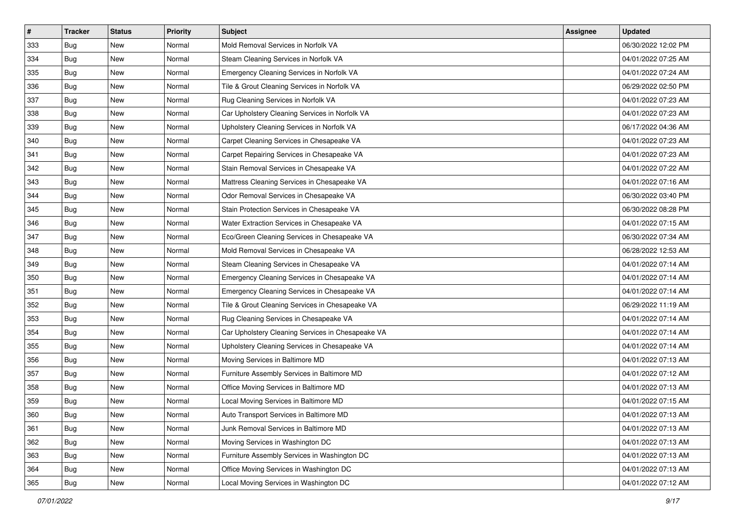| $\sharp$ | <b>Tracker</b> | <b>Status</b> | <b>Priority</b> | Subject                                           | <b>Assignee</b> | <b>Updated</b>      |
|----------|----------------|---------------|-----------------|---------------------------------------------------|-----------------|---------------------|
| 333      | <b>Bug</b>     | New           | Normal          | Mold Removal Services in Norfolk VA               |                 | 06/30/2022 12:02 PM |
| 334      | <b>Bug</b>     | <b>New</b>    | Normal          | Steam Cleaning Services in Norfolk VA             |                 | 04/01/2022 07:25 AM |
| 335      | Bug            | <b>New</b>    | Normal          | Emergency Cleaning Services in Norfolk VA         |                 | 04/01/2022 07:24 AM |
| 336      | Bug            | New           | Normal          | Tile & Grout Cleaning Services in Norfolk VA      |                 | 06/29/2022 02:50 PM |
| 337      | <b>Bug</b>     | New           | Normal          | Rug Cleaning Services in Norfolk VA               |                 | 04/01/2022 07:23 AM |
| 338      | <b>Bug</b>     | New           | Normal          | Car Upholstery Cleaning Services in Norfolk VA    |                 | 04/01/2022 07:23 AM |
| 339      | <b>Bug</b>     | <b>New</b>    | Normal          | Upholstery Cleaning Services in Norfolk VA        |                 | 06/17/2022 04:36 AM |
| 340      | Bug            | New           | Normal          | Carpet Cleaning Services in Chesapeake VA         |                 | 04/01/2022 07:23 AM |
| 341      | Bug            | <b>New</b>    | Normal          | Carpet Repairing Services in Chesapeake VA        |                 | 04/01/2022 07:23 AM |
| 342      | <b>Bug</b>     | <b>New</b>    | Normal          | Stain Removal Services in Chesapeake VA           |                 | 04/01/2022 07:22 AM |
| 343      | Bug            | <b>New</b>    | Normal          | Mattress Cleaning Services in Chesapeake VA       |                 | 04/01/2022 07:16 AM |
| 344      | Bug            | New           | Normal          | Odor Removal Services in Chesapeake VA            |                 | 06/30/2022 03:40 PM |
| 345      | <b>Bug</b>     | New           | Normal          | Stain Protection Services in Chesapeake VA        |                 | 06/30/2022 08:28 PM |
| 346      | <b>Bug</b>     | New           | Normal          | Water Extraction Services in Chesapeake VA        |                 | 04/01/2022 07:15 AM |
| 347      | <b>Bug</b>     | New           | Normal          | Eco/Green Cleaning Services in Chesapeake VA      |                 | 06/30/2022 07:34 AM |
| 348      | <b>Bug</b>     | New           | Normal          | Mold Removal Services in Chesapeake VA            |                 | 06/28/2022 12:53 AM |
| 349      | Bug            | New           | Normal          | Steam Cleaning Services in Chesapeake VA          |                 | 04/01/2022 07:14 AM |
| 350      | <b>Bug</b>     | <b>New</b>    | Normal          | Emergency Cleaning Services in Chesapeake VA      |                 | 04/01/2022 07:14 AM |
| 351      | <b>Bug</b>     | <b>New</b>    | Normal          | Emergency Cleaning Services in Chesapeake VA      |                 | 04/01/2022 07:14 AM |
| 352      | <b>Bug</b>     | <b>New</b>    | Normal          | Tile & Grout Cleaning Services in Chesapeake VA   |                 | 06/29/2022 11:19 AM |
| 353      | Bug            | New           | Normal          | Rug Cleaning Services in Chesapeake VA            |                 | 04/01/2022 07:14 AM |
| 354      | Bug            | <b>New</b>    | Normal          | Car Upholstery Cleaning Services in Chesapeake VA |                 | 04/01/2022 07:14 AM |
| 355      | <b>Bug</b>     | <b>New</b>    | Normal          | Upholstery Cleaning Services in Chesapeake VA     |                 | 04/01/2022 07:14 AM |
| 356      | Bug            | New           | Normal          | Moving Services in Baltimore MD                   |                 | 04/01/2022 07:13 AM |
| 357      | Bug            | <b>New</b>    | Normal          | Furniture Assembly Services in Baltimore MD       |                 | 04/01/2022 07:12 AM |
| 358      | Bug            | New           | Normal          | Office Moving Services in Baltimore MD            |                 | 04/01/2022 07:13 AM |
| 359      | <b>Bug</b>     | New           | Normal          | Local Moving Services in Baltimore MD             |                 | 04/01/2022 07:15 AM |
| 360      | <b>Bug</b>     | New           | Normal          | Auto Transport Services in Baltimore MD           |                 | 04/01/2022 07:13 AM |
| 361      | Bug            | New           | Normal          | Junk Removal Services in Baltimore MD             |                 | 04/01/2022 07:13 AM |
| 362      | Bug            | New           | Normal          | Moving Services in Washington DC                  |                 | 04/01/2022 07:13 AM |
| 363      | Bug            | New           | Normal          | Furniture Assembly Services in Washington DC      |                 | 04/01/2022 07:13 AM |
| 364      | Bug            | New           | Normal          | Office Moving Services in Washington DC           |                 | 04/01/2022 07:13 AM |
| 365      | <b>Bug</b>     | New           | Normal          | Local Moving Services in Washington DC            |                 | 04/01/2022 07:12 AM |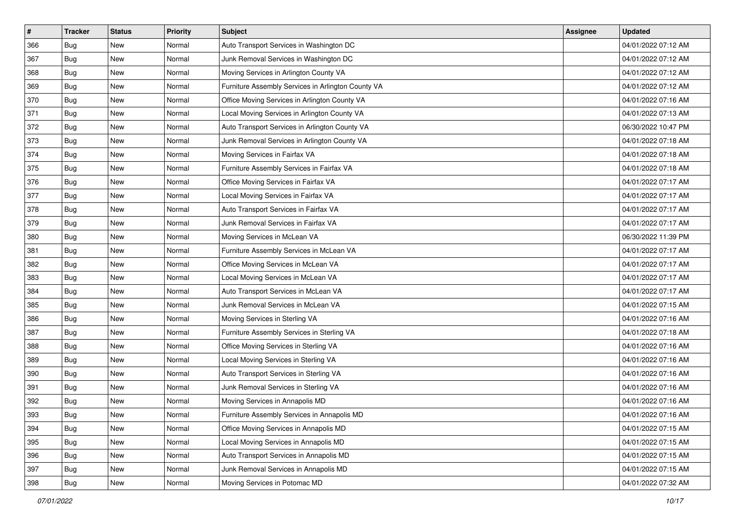| $\sharp$ | <b>Tracker</b> | <b>Status</b> | <b>Priority</b> | <b>Subject</b>                                     | <b>Assignee</b> | <b>Updated</b>      |
|----------|----------------|---------------|-----------------|----------------------------------------------------|-----------------|---------------------|
| 366      | Bug            | New           | Normal          | Auto Transport Services in Washington DC           |                 | 04/01/2022 07:12 AM |
| 367      | Bug            | <b>New</b>    | Normal          | Junk Removal Services in Washington DC             |                 | 04/01/2022 07:12 AM |
| 368      | Bug            | New           | Normal          | Moving Services in Arlington County VA             |                 | 04/01/2022 07:12 AM |
| 369      | Bug            | <b>New</b>    | Normal          | Furniture Assembly Services in Arlington County VA |                 | 04/01/2022 07:12 AM |
| 370      | Bug            | New           | Normal          | Office Moving Services in Arlington County VA      |                 | 04/01/2022 07:16 AM |
| 371      | Bug            | New           | Normal          | Local Moving Services in Arlington County VA       |                 | 04/01/2022 07:13 AM |
| 372      | Bug            | New           | Normal          | Auto Transport Services in Arlington County VA     |                 | 06/30/2022 10:47 PM |
| 373      | Bug            | New           | Normal          | Junk Removal Services in Arlington County VA       |                 | 04/01/2022 07:18 AM |
| 374      | Bug            | New           | Normal          | Moving Services in Fairfax VA                      |                 | 04/01/2022 07:18 AM |
| 375      | Bug            | <b>New</b>    | Normal          | Furniture Assembly Services in Fairfax VA          |                 | 04/01/2022 07:18 AM |
| 376      | Bug            | New           | Normal          | Office Moving Services in Fairfax VA               |                 | 04/01/2022 07:17 AM |
| 377      | Bug            | New           | Normal          | Local Moving Services in Fairfax VA                |                 | 04/01/2022 07:17 AM |
| 378      | Bug            | <b>New</b>    | Normal          | Auto Transport Services in Fairfax VA              |                 | 04/01/2022 07:17 AM |
| 379      | Bug            | New           | Normal          | Junk Removal Services in Fairfax VA                |                 | 04/01/2022 07:17 AM |
| 380      | <b>Bug</b>     | <b>New</b>    | Normal          | Moving Services in McLean VA                       |                 | 06/30/2022 11:39 PM |
| 381      | Bug            | New           | Normal          | Furniture Assembly Services in McLean VA           |                 | 04/01/2022 07:17 AM |
| 382      | Bug            | <b>New</b>    | Normal          | Office Moving Services in McLean VA                |                 | 04/01/2022 07:17 AM |
| 383      | Bug            | New           | Normal          | Local Moving Services in McLean VA                 |                 | 04/01/2022 07:17 AM |
| 384      | Bug            | New           | Normal          | Auto Transport Services in McLean VA               |                 | 04/01/2022 07:17 AM |
| 385      | Bug            | <b>New</b>    | Normal          | Junk Removal Services in McLean VA                 |                 | 04/01/2022 07:15 AM |
| 386      | Bug            | New           | Normal          | Moving Services in Sterling VA                     |                 | 04/01/2022 07:16 AM |
| 387      | Bug            | New           | Normal          | Furniture Assembly Services in Sterling VA         |                 | 04/01/2022 07:18 AM |
| 388      | Bug            | <b>New</b>    | Normal          | Office Moving Services in Sterling VA              |                 | 04/01/2022 07:16 AM |
| 389      | <b>Bug</b>     | New           | Normal          | Local Moving Services in Sterling VA               |                 | 04/01/2022 07:16 AM |
| 390      | Bug            | New           | Normal          | Auto Transport Services in Sterling VA             |                 | 04/01/2022 07:16 AM |
| 391      | Bug            | <b>New</b>    | Normal          | Junk Removal Services in Sterling VA               |                 | 04/01/2022 07:16 AM |
| 392      | <b>Bug</b>     | New           | Normal          | Moving Services in Annapolis MD                    |                 | 04/01/2022 07:16 AM |
| 393      | <b>Bug</b>     | New           | Normal          | Furniture Assembly Services in Annapolis MD        |                 | 04/01/2022 07:16 AM |
| 394      | Bug            | New           | Normal          | Office Moving Services in Annapolis MD             |                 | 04/01/2022 07:15 AM |
| 395      | Bug            | New           | Normal          | Local Moving Services in Annapolis MD              |                 | 04/01/2022 07:15 AM |
| 396      | Bug            | New           | Normal          | Auto Transport Services in Annapolis MD            |                 | 04/01/2022 07:15 AM |
| 397      | Bug            | New           | Normal          | Junk Removal Services in Annapolis MD              |                 | 04/01/2022 07:15 AM |
| 398      | <b>Bug</b>     | New           | Normal          | Moving Services in Potomac MD                      |                 | 04/01/2022 07:32 AM |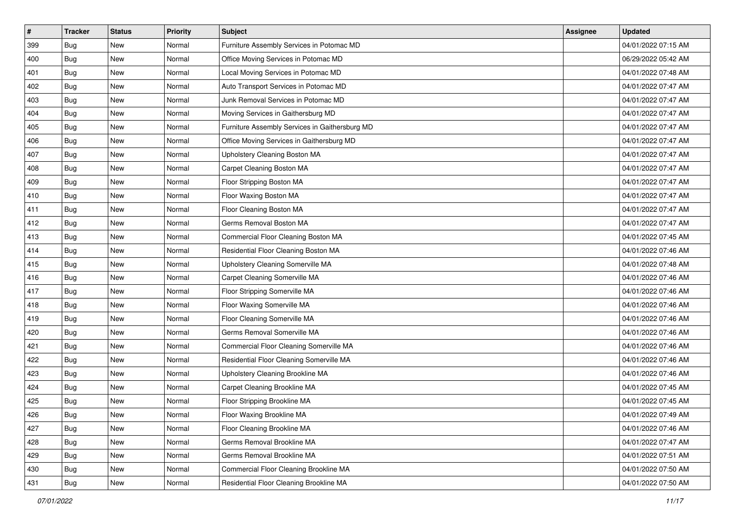| #   | <b>Tracker</b> | <b>Status</b> | <b>Priority</b> | Subject                                        | <b>Assignee</b> | <b>Updated</b>      |
|-----|----------------|---------------|-----------------|------------------------------------------------|-----------------|---------------------|
| 399 | Bug            | New           | Normal          | Furniture Assembly Services in Potomac MD      |                 | 04/01/2022 07:15 AM |
| 400 | <b>Bug</b>     | <b>New</b>    | Normal          | Office Moving Services in Potomac MD           |                 | 06/29/2022 05:42 AM |
| 401 | Bug            | New           | Normal          | Local Moving Services in Potomac MD            |                 | 04/01/2022 07:48 AM |
| 402 | Bug            | New           | Normal          | Auto Transport Services in Potomac MD          |                 | 04/01/2022 07:47 AM |
| 403 | Bug            | <b>New</b>    | Normal          | Junk Removal Services in Potomac MD            |                 | 04/01/2022 07:47 AM |
| 404 | Bug            | New           | Normal          | Moving Services in Gaithersburg MD             |                 | 04/01/2022 07:47 AM |
| 405 | Bug            | New           | Normal          | Furniture Assembly Services in Gaithersburg MD |                 | 04/01/2022 07:47 AM |
| 406 | Bug            | New           | Normal          | Office Moving Services in Gaithersburg MD      |                 | 04/01/2022 07:47 AM |
| 407 | Bug            | New           | Normal          | Upholstery Cleaning Boston MA                  |                 | 04/01/2022 07:47 AM |
| 408 | <b>Bug</b>     | <b>New</b>    | Normal          | Carpet Cleaning Boston MA                      |                 | 04/01/2022 07:47 AM |
| 409 | <b>Bug</b>     | New           | Normal          | Floor Stripping Boston MA                      |                 | 04/01/2022 07:47 AM |
| 410 | Bug            | New           | Normal          | Floor Waxing Boston MA                         |                 | 04/01/2022 07:47 AM |
| 411 | Bug            | New           | Normal          | Floor Cleaning Boston MA                       |                 | 04/01/2022 07:47 AM |
| 412 | Bug            | New           | Normal          | Germs Removal Boston MA                        |                 | 04/01/2022 07:47 AM |
| 413 | Bug            | New           | Normal          | Commercial Floor Cleaning Boston MA            |                 | 04/01/2022 07:45 AM |
| 414 | Bug            | New           | Normal          | Residential Floor Cleaning Boston MA           |                 | 04/01/2022 07:46 AM |
| 415 | Bug            | New           | Normal          | Upholstery Cleaning Somerville MA              |                 | 04/01/2022 07:48 AM |
| 416 | Bug            | New           | Normal          | Carpet Cleaning Somerville MA                  |                 | 04/01/2022 07:46 AM |
| 417 | Bug            | New           | Normal          | Floor Stripping Somerville MA                  |                 | 04/01/2022 07:46 AM |
| 418 | Bug            | <b>New</b>    | Normal          | Floor Waxing Somerville MA                     |                 | 04/01/2022 07:46 AM |
| 419 | Bug            | New           | Normal          | Floor Cleaning Somerville MA                   |                 | 04/01/2022 07:46 AM |
| 420 | Bug            | New           | Normal          | Germs Removal Somerville MA                    |                 | 04/01/2022 07:46 AM |
| 421 | Bug            | New           | Normal          | Commercial Floor Cleaning Somerville MA        |                 | 04/01/2022 07:46 AM |
| 422 | Bug            | New           | Normal          | Residential Floor Cleaning Somerville MA       |                 | 04/01/2022 07:46 AM |
| 423 | Bug            | New           | Normal          | Upholstery Cleaning Brookline MA               |                 | 04/01/2022 07:46 AM |
| 424 | Bug            | New           | Normal          | Carpet Cleaning Brookline MA                   |                 | 04/01/2022 07:45 AM |
| 425 | Bug            | New           | Normal          | Floor Stripping Brookline MA                   |                 | 04/01/2022 07:45 AM |
| 426 | <b>Bug</b>     | New           | Normal          | Floor Waxing Brookline MA                      |                 | 04/01/2022 07:49 AM |
| 427 | Bug            | New           | Normal          | Floor Cleaning Brookline MA                    |                 | 04/01/2022 07:46 AM |
| 428 | Bug            | New           | Normal          | Germs Removal Brookline MA                     |                 | 04/01/2022 07:47 AM |
| 429 | Bug            | New           | Normal          | Germs Removal Brookline MA                     |                 | 04/01/2022 07:51 AM |
| 430 | <b>Bug</b>     | New           | Normal          | Commercial Floor Cleaning Brookline MA         |                 | 04/01/2022 07:50 AM |
| 431 | <b>Bug</b>     | New           | Normal          | Residential Floor Cleaning Brookline MA        |                 | 04/01/2022 07:50 AM |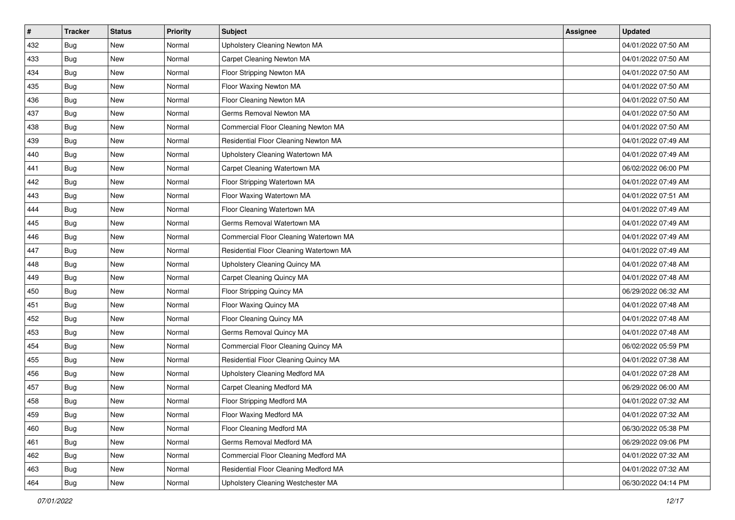| $\vert$ # | <b>Tracker</b> | <b>Status</b> | Priority | <b>Subject</b>                          | <b>Assignee</b> | <b>Updated</b>      |
|-----------|----------------|---------------|----------|-----------------------------------------|-----------------|---------------------|
| 432       | Bug            | New           | Normal   | Upholstery Cleaning Newton MA           |                 | 04/01/2022 07:50 AM |
| 433       | Bug            | New           | Normal   | Carpet Cleaning Newton MA               |                 | 04/01/2022 07:50 AM |
| 434       | Bug            | New           | Normal   | Floor Stripping Newton MA               |                 | 04/01/2022 07:50 AM |
| 435       | Bug            | New           | Normal   | Floor Waxing Newton MA                  |                 | 04/01/2022 07:50 AM |
| 436       | Bug            | <b>New</b>    | Normal   | Floor Cleaning Newton MA                |                 | 04/01/2022 07:50 AM |
| 437       | Bug            | New           | Normal   | Germs Removal Newton MA                 |                 | 04/01/2022 07:50 AM |
| 438       | Bug            | New           | Normal   | Commercial Floor Cleaning Newton MA     |                 | 04/01/2022 07:50 AM |
| 439       | Bug            | New           | Normal   | Residential Floor Cleaning Newton MA    |                 | 04/01/2022 07:49 AM |
| 440       | Bug            | New           | Normal   | Upholstery Cleaning Watertown MA        |                 | 04/01/2022 07:49 AM |
| 441       | Bug            | New           | Normal   | Carpet Cleaning Watertown MA            |                 | 06/02/2022 06:00 PM |
| 442       | Bug            | New           | Normal   | Floor Stripping Watertown MA            |                 | 04/01/2022 07:49 AM |
| 443       | Bug            | New           | Normal   | Floor Waxing Watertown MA               |                 | 04/01/2022 07:51 AM |
| 444       | Bug            | New           | Normal   | Floor Cleaning Watertown MA             |                 | 04/01/2022 07:49 AM |
| 445       | Bug            | New           | Normal   | Germs Removal Watertown MA              |                 | 04/01/2022 07:49 AM |
| 446       | Bug            | New           | Normal   | Commercial Floor Cleaning Watertown MA  |                 | 04/01/2022 07:49 AM |
| 447       | Bug            | New           | Normal   | Residential Floor Cleaning Watertown MA |                 | 04/01/2022 07:49 AM |
| 448       | Bug            | New           | Normal   | Upholstery Cleaning Quincy MA           |                 | 04/01/2022 07:48 AM |
| 449       | Bug            | <b>New</b>    | Normal   | Carpet Cleaning Quincy MA               |                 | 04/01/2022 07:48 AM |
| 450       | Bug            | New           | Normal   | Floor Stripping Quincy MA               |                 | 06/29/2022 06:32 AM |
| 451       | Bug            | New           | Normal   | Floor Waxing Quincy MA                  |                 | 04/01/2022 07:48 AM |
| 452       | Bug            | New           | Normal   | Floor Cleaning Quincy MA                |                 | 04/01/2022 07:48 AM |
| 453       | Bug            | New           | Normal   | Germs Removal Quincy MA                 |                 | 04/01/2022 07:48 AM |
| 454       | Bug            | <b>New</b>    | Normal   | Commercial Floor Cleaning Quincy MA     |                 | 06/02/2022 05:59 PM |
| 455       | Bug            | New           | Normal   | Residential Floor Cleaning Quincy MA    |                 | 04/01/2022 07:38 AM |
| 456       | Bug            | New           | Normal   | Upholstery Cleaning Medford MA          |                 | 04/01/2022 07:28 AM |
| 457       | Bug            | New           | Normal   | <b>Carpet Cleaning Medford MA</b>       |                 | 06/29/2022 06:00 AM |
| 458       | Bug            | New           | Normal   | Floor Stripping Medford MA              |                 | 04/01/2022 07:32 AM |
| 459       | <b>Bug</b>     | New           | Normal   | Floor Waxing Medford MA                 |                 | 04/01/2022 07:32 AM |
| 460       | Bug            | New           | Normal   | Floor Cleaning Medford MA               |                 | 06/30/2022 05:38 PM |
| 461       | <b>Bug</b>     | New           | Normal   | Germs Removal Medford MA                |                 | 06/29/2022 09:06 PM |
| 462       | Bug            | New           | Normal   | Commercial Floor Cleaning Medford MA    |                 | 04/01/2022 07:32 AM |
| 463       | Bug            | New           | Normal   | Residential Floor Cleaning Medford MA   |                 | 04/01/2022 07:32 AM |
| 464       | <b>Bug</b>     | New           | Normal   | Upholstery Cleaning Westchester MA      |                 | 06/30/2022 04:14 PM |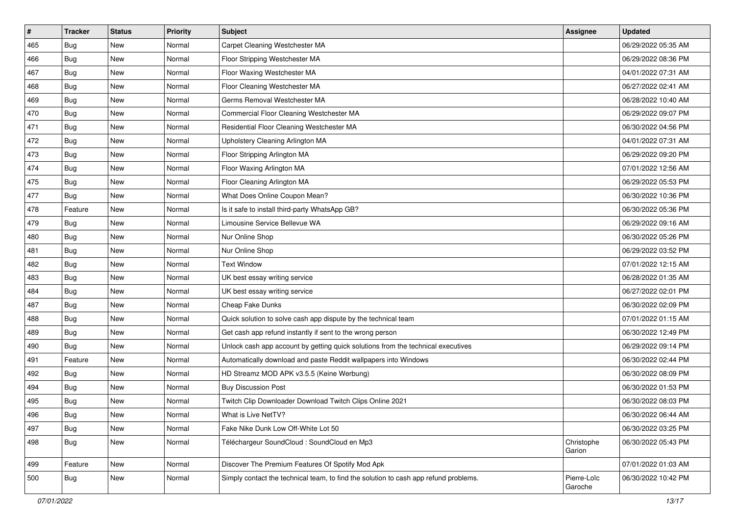| $\vert$ # | <b>Tracker</b> | <b>Status</b> | <b>Priority</b> | Subject                                                                              | <b>Assignee</b>        | <b>Updated</b>      |
|-----------|----------------|---------------|-----------------|--------------------------------------------------------------------------------------|------------------------|---------------------|
| 465       | Bug            | New           | Normal          | Carpet Cleaning Westchester MA                                                       |                        | 06/29/2022 05:35 AM |
| 466       | Bug            | <b>New</b>    | Normal          | Floor Stripping Westchester MA                                                       |                        | 06/29/2022 08:36 PM |
| 467       | Bug            | New           | Normal          | Floor Waxing Westchester MA                                                          |                        | 04/01/2022 07:31 AM |
| 468       | Bug            | <b>New</b>    | Normal          | Floor Cleaning Westchester MA                                                        |                        | 06/27/2022 02:41 AM |
| 469       | Bug            | New           | Normal          | Germs Removal Westchester MA                                                         |                        | 06/28/2022 10:40 AM |
| 470       | Bug            | New           | Normal          | Commercial Floor Cleaning Westchester MA                                             |                        | 06/29/2022 09:07 PM |
| 471       | Bug            | New           | Normal          | Residential Floor Cleaning Westchester MA                                            |                        | 06/30/2022 04:56 PM |
| 472       | Bug            | New           | Normal          | Upholstery Cleaning Arlington MA                                                     |                        | 04/01/2022 07:31 AM |
| 473       | Bug            | New           | Normal          | Floor Stripping Arlington MA                                                         |                        | 06/29/2022 09:20 PM |
| 474       | Bug            | <b>New</b>    | Normal          | Floor Waxing Arlington MA                                                            |                        | 07/01/2022 12:56 AM |
| 475       | Bug            | New           | Normal          | Floor Cleaning Arlington MA                                                          |                        | 06/29/2022 05:53 PM |
| 477       | Bug            | New           | Normal          | What Does Online Coupon Mean?                                                        |                        | 06/30/2022 10:36 PM |
| 478       | Feature        | New           | Normal          | Is it safe to install third-party WhatsApp GB?                                       |                        | 06/30/2022 05:36 PM |
| 479       | Bug            | New           | Normal          | Limousine Service Bellevue WA                                                        |                        | 06/29/2022 09:16 AM |
| 480       | <b>Bug</b>     | New           | Normal          | Nur Online Shop                                                                      |                        | 06/30/2022 05:26 PM |
| 481       | Bug            | New           | Normal          | Nur Online Shop                                                                      |                        | 06/29/2022 03:52 PM |
| 482       | Bug            | <b>New</b>    | Normal          | <b>Text Window</b>                                                                   |                        | 07/01/2022 12:15 AM |
| 483       | <b>Bug</b>     | New           | Normal          | UK best essay writing service                                                        |                        | 06/28/2022 01:35 AM |
| 484       | Bug            | New           | Normal          | UK best essay writing service                                                        |                        | 06/27/2022 02:01 PM |
| 487       | <b>Bug</b>     | <b>New</b>    | Normal          | Cheap Fake Dunks                                                                     |                        | 06/30/2022 02:09 PM |
| 488       | Bug            | New           | Normal          | Quick solution to solve cash app dispute by the technical team                       |                        | 07/01/2022 01:15 AM |
| 489       | Bug            | New           | Normal          | Get cash app refund instantly if sent to the wrong person                            |                        | 06/30/2022 12:49 PM |
| 490       | <b>Bug</b>     | <b>New</b>    | Normal          | Unlock cash app account by getting quick solutions from the technical executives     |                        | 06/29/2022 09:14 PM |
| 491       | Feature        | New           | Normal          | Automatically download and paste Reddit wallpapers into Windows                      |                        | 06/30/2022 02:44 PM |
| 492       | Bug            | New           | Normal          | HD Streamz MOD APK v3.5.5 (Keine Werbung)                                            |                        | 06/30/2022 08:09 PM |
| 494       | Bug            | New           | Normal          | <b>Buy Discussion Post</b>                                                           |                        | 06/30/2022 01:53 PM |
| 495       | Bug            | New           | Normal          | Twitch Clip Downloader Download Twitch Clips Online 2021                             |                        | 06/30/2022 08:03 PM |
| 496       | <b>Bug</b>     | New           | Normal          | What is Live NetTV?                                                                  |                        | 06/30/2022 06:44 AM |
| 497       | Bug            | New           | Normal          | Fake Nike Dunk Low Off-White Lot 50                                                  |                        | 06/30/2022 03:25 PM |
| 498       | Bug            | New           | Normal          | Téléchargeur SoundCloud : SoundCloud en Mp3                                          | Christophe<br>Garion   | 06/30/2022 05:43 PM |
| 499       | Feature        | New           | Normal          | Discover The Premium Features Of Spotify Mod Apk                                     |                        | 07/01/2022 01:03 AM |
| 500       | Bug            | New           | Normal          | Simply contact the technical team, to find the solution to cash app refund problems. | Pierre-Loïc<br>Garoche | 06/30/2022 10:42 PM |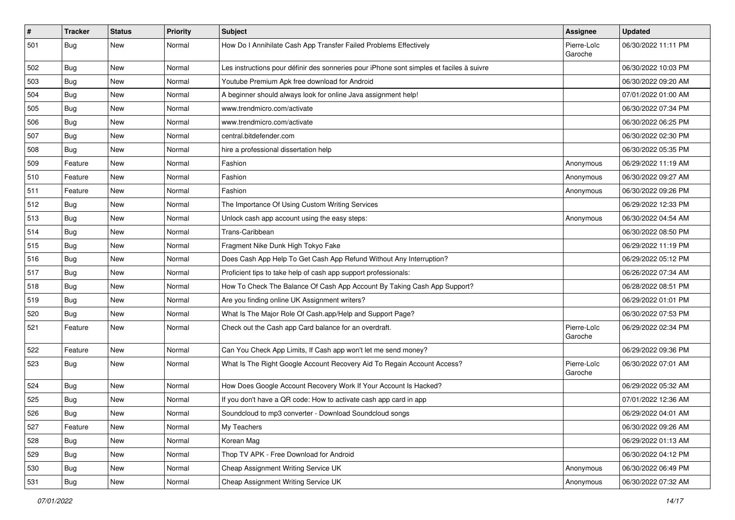| $\vert$ # | <b>Tracker</b> | <b>Status</b> | <b>Priority</b> | Subject                                                                                  | Assignee               | <b>Updated</b>      |
|-----------|----------------|---------------|-----------------|------------------------------------------------------------------------------------------|------------------------|---------------------|
| 501       | Bug            | New           | Normal          | How Do I Annihilate Cash App Transfer Failed Problems Effectively                        | Pierre-Loïc<br>Garoche | 06/30/2022 11:11 PM |
| 502       | Bug            | New           | Normal          | Les instructions pour définir des sonneries pour iPhone sont simples et faciles à suivre |                        | 06/30/2022 10:03 PM |
| 503       | Bug            | <b>New</b>    | Normal          | Youtube Premium Apk free download for Android                                            |                        | 06/30/2022 09:20 AM |
| 504       | Bug            | New           | Normal          | A beginner should always look for online Java assignment help!                           |                        | 07/01/2022 01:00 AM |
| 505       | Bug            | New           | Normal          | www.trendmicro.com/activate                                                              |                        | 06/30/2022 07:34 PM |
| 506       | Bug            | New           | Normal          | www.trendmicro.com/activate                                                              |                        | 06/30/2022 06:25 PM |
| 507       | Bug            | New           | Normal          | central.bitdefender.com                                                                  |                        | 06/30/2022 02:30 PM |
| 508       | Bug            | New           | Normal          | hire a professional dissertation help                                                    |                        | 06/30/2022 05:35 PM |
| 509       | Feature        | New           | Normal          | Fashion                                                                                  | Anonymous              | 06/29/2022 11:19 AM |
| 510       | Feature        | New           | Normal          | Fashion                                                                                  | Anonymous              | 06/30/2022 09:27 AM |
| 511       | Feature        | <b>New</b>    | Normal          | Fashion                                                                                  | Anonymous              | 06/30/2022 09:26 PM |
| 512       | Bug            | New           | Normal          | The Importance Of Using Custom Writing Services                                          |                        | 06/29/2022 12:33 PM |
| 513       | Bug            | New           | Normal          | Unlock cash app account using the easy steps:                                            | Anonymous              | 06/30/2022 04:54 AM |
| 514       | Bug            | <b>New</b>    | Normal          | Trans-Caribbean                                                                          |                        | 06/30/2022 08:50 PM |
| 515       | Bug            | New           | Normal          | Fragment Nike Dunk High Tokyo Fake                                                       |                        | 06/29/2022 11:19 PM |
| 516       | Bug            | <b>New</b>    | Normal          | Does Cash App Help To Get Cash App Refund Without Any Interruption?                      |                        | 06/29/2022 05:12 PM |
| 517       | Bug            | New           | Normal          | Proficient tips to take help of cash app support professionals:                          |                        | 06/26/2022 07:34 AM |
| 518       | Bug            | New           | Normal          | How To Check The Balance Of Cash App Account By Taking Cash App Support?                 |                        | 06/28/2022 08:51 PM |
| 519       | Bug            | New           | Normal          | Are you finding online UK Assignment writers?                                            |                        | 06/29/2022 01:01 PM |
| 520       | Bug            | New           | Normal          | What Is The Major Role Of Cash.app/Help and Support Page?                                |                        | 06/30/2022 07:53 PM |
| 521       | Feature        | New           | Normal          | Check out the Cash app Card balance for an overdraft.                                    | Pierre-Loïc<br>Garoche | 06/29/2022 02:34 PM |
| 522       | Feature        | New           | Normal          | Can You Check App Limits, If Cash app won't let me send money?                           |                        | 06/29/2022 09:36 PM |
| 523       | Bug            | New           | Normal          | What Is The Right Google Account Recovery Aid To Regain Account Access?                  | Pierre-Loïc<br>Garoche | 06/30/2022 07:01 AM |
| 524       | Bug            | New           | Normal          | How Does Google Account Recovery Work If Your Account Is Hacked?                         |                        | 06/29/2022 05:32 AM |
| 525       | Bug            | New           | Normal          | If you don't have a QR code: How to activate cash app card in app                        |                        | 07/01/2022 12:36 AM |
| 526       | Bug            | New           | Normal          | Soundcloud to mp3 converter - Download Soundcloud songs                                  |                        | 06/29/2022 04:01 AM |
| 527       | Feature        | New           | Normal          | My Teachers                                                                              |                        | 06/30/2022 09:26 AM |
| 528       | Bug            | New           | Normal          | Korean Mag                                                                               |                        | 06/29/2022 01:13 AM |
| 529       | Bug            | New           | Normal          | Thop TV APK - Free Download for Android                                                  |                        | 06/30/2022 04:12 PM |
| 530       | Bug            | New           | Normal          | Cheap Assignment Writing Service UK                                                      | Anonymous              | 06/30/2022 06:49 PM |
| 531       | <b>Bug</b>     | New           | Normal          | Cheap Assignment Writing Service UK                                                      | Anonymous              | 06/30/2022 07:32 AM |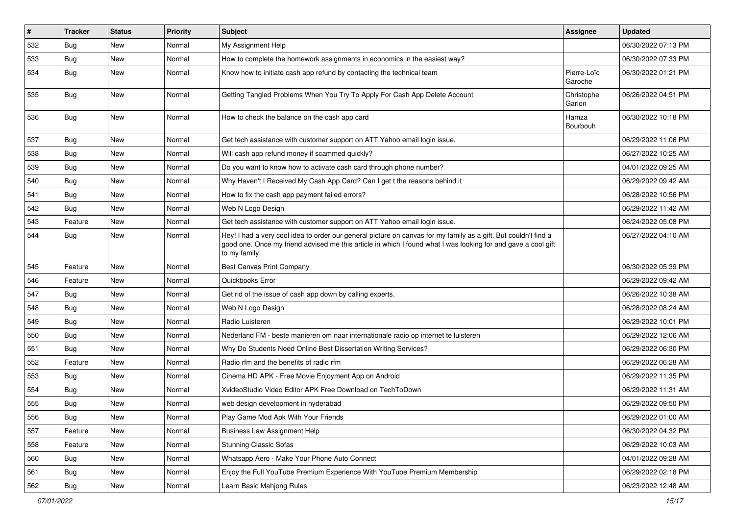| $\sharp$ | <b>Tracker</b> | <b>Status</b> | <b>Priority</b> | Subject                                                                                                                                                                                                                                           | <b>Assignee</b>        | <b>Updated</b>      |
|----------|----------------|---------------|-----------------|---------------------------------------------------------------------------------------------------------------------------------------------------------------------------------------------------------------------------------------------------|------------------------|---------------------|
| 532      | <b>Bug</b>     | New           | Normal          | My Assignment Help                                                                                                                                                                                                                                |                        | 06/30/2022 07:13 PM |
| 533      | <b>Bug</b>     | New           | Normal          | How to complete the homework assignments in economics in the easiest way?                                                                                                                                                                         |                        | 06/30/2022 07:33 PM |
| 534      | Bug            | New           | Normal          | Know how to initiate cash app refund by contacting the technical team                                                                                                                                                                             | Pierre-Loïc<br>Garoche | 06/30/2022 01:21 PM |
| 535      | Bug            | New           | Normal          | Getting Tangled Problems When You Try To Apply For Cash App Delete Account                                                                                                                                                                        | Christophe<br>Garion   | 06/26/2022 04:51 PM |
| 536      | Bug            | New           | Normal          | How to check the balance on the cash app card                                                                                                                                                                                                     | Hamza<br>Bourbouh      | 06/30/2022 10:18 PM |
| 537      | Bug            | New           | Normal          | Get tech assistance with customer support on ATT Yahoo email login issue.                                                                                                                                                                         |                        | 06/29/2022 11:06 PM |
| 538      | Bug            | New           | Normal          | Will cash app refund money if scammed quickly?                                                                                                                                                                                                    |                        | 06/27/2022 10:25 AM |
| 539      | Bug            | New           | Normal          | Do you want to know how to activate cash card through phone number?                                                                                                                                                                               |                        | 04/01/2022 09:25 AM |
| 540      | <b>Bug</b>     | <b>New</b>    | Normal          | Why Haven't I Received My Cash App Card? Can I get t the reasons behind it                                                                                                                                                                        |                        | 06/29/2022 09:42 AM |
| 541      | Bug            | New           | Normal          | How to fix the cash app payment failed errors?                                                                                                                                                                                                    |                        | 06/28/2022 10:56 PM |
| 542      | Bug            | New           | Normal          | Web N Logo Design                                                                                                                                                                                                                                 |                        | 06/29/2022 11:42 AM |
| 543      | Feature        | New           | Normal          | Get tech assistance with customer support on ATT Yahoo email login issue.                                                                                                                                                                         |                        | 06/24/2022 05:08 PM |
| 544      | Bug            | New           | Normal          | Hey! I had a very cool idea to order our general picture on canvas for my family as a gift. But couldn't find a<br>good one. Once my friend advised me this article in which I found what I was looking for and gave a cool gift<br>to my family. |                        | 06/27/2022 04:10 AM |
| 545      | Feature        | New           | Normal          | Best Canvas Print Company                                                                                                                                                                                                                         |                        | 06/30/2022 05:39 PM |
| 546      | Feature        | <b>New</b>    | Normal          | Quickbooks Error                                                                                                                                                                                                                                  |                        | 06/29/2022 09:42 AM |
| 547      | Bug            | New           | Normal          | Get rid of the issue of cash app down by calling experts.                                                                                                                                                                                         |                        | 06/26/2022 10:38 AM |
| 548      | <b>Bug</b>     | New           | Normal          | Web N Logo Design                                                                                                                                                                                                                                 |                        | 06/28/2022 08:24 AM |
| 549      | Bug            | New           | Normal          | Radio Luisteren                                                                                                                                                                                                                                   |                        | 06/29/2022 10:01 PM |
| 550      | Bug            | <b>New</b>    | Normal          | Nederland FM - beste manieren om naar internationale radio op internet te luisteren                                                                                                                                                               |                        | 06/29/2022 12:06 AM |
| 551      | Bug            | New           | Normal          | Why Do Students Need Online Best Dissertation Writing Services?                                                                                                                                                                                   |                        | 06/29/2022 06:30 PM |
| 552      | Feature        | New           | Normal          | Radio rfm and the benefits of radio rfm                                                                                                                                                                                                           |                        | 06/29/2022 06:28 AM |
| 553      | Bug            | New           | Normal          | Cinema HD APK - Free Movie Enjoyment App on Android                                                                                                                                                                                               |                        | 06/29/2022 11:35 PM |
| 554      | <b>Bug</b>     | New           | Normal          | XvideoStudio Video Editor APK Free Download on TechToDown                                                                                                                                                                                         |                        | 06/29/2022 11:31 AM |
| 555      | Bug            | New           | Normal          | web design development in hyderabad                                                                                                                                                                                                               |                        | 06/29/2022 09:50 PM |
| 556      | Bug            | New           | Normal          | Play Game Mod Apk With Your Friends                                                                                                                                                                                                               |                        | 06/29/2022 01:00 AM |
| 557      | Feature        | New           | Normal          | <b>Business Law Assignment Help</b>                                                                                                                                                                                                               |                        | 06/30/2022 04:32 PM |
| 558      | Feature        | New           | Normal          | <b>Stunning Classic Sofas</b>                                                                                                                                                                                                                     |                        | 06/29/2022 10:03 AM |
| 560      | Bug            | New           | Normal          | Whatsapp Aero - Make Your Phone Auto Connect                                                                                                                                                                                                      |                        | 04/01/2022 09:28 AM |
| 561      | Bug            | New           | Normal          | Enjoy the Full YouTube Premium Experience With YouTube Premium Membership                                                                                                                                                                         |                        | 06/29/2022 02:18 PM |
| 562      | <b>Bug</b>     | New           | Normal          | Learn Basic Mahjong Rules                                                                                                                                                                                                                         |                        | 06/23/2022 12:48 AM |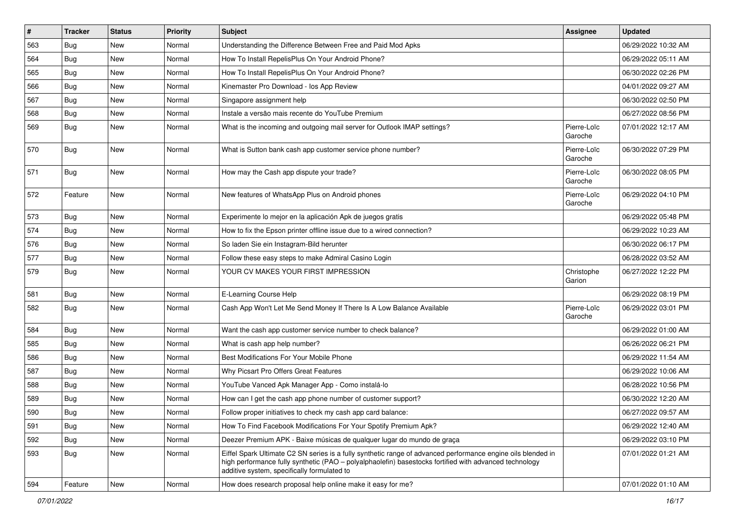| $\sharp$ | <b>Tracker</b> | <b>Status</b> | <b>Priority</b> | <b>Subject</b>                                                                                                                                                                                                                                                        | Assignee               | <b>Updated</b>      |
|----------|----------------|---------------|-----------------|-----------------------------------------------------------------------------------------------------------------------------------------------------------------------------------------------------------------------------------------------------------------------|------------------------|---------------------|
| 563      | <b>Bug</b>     | New           | Normal          | Understanding the Difference Between Free and Paid Mod Apks                                                                                                                                                                                                           |                        | 06/29/2022 10:32 AM |
| 564      | Bug            | New           | Normal          | How To Install RepelisPlus On Your Android Phone?                                                                                                                                                                                                                     |                        | 06/29/2022 05:11 AM |
| 565      | <b>Bug</b>     | New           | Normal          | How To Install RepelisPlus On Your Android Phone?                                                                                                                                                                                                                     |                        | 06/30/2022 02:26 PM |
| 566      | Bug            | New           | Normal          | Kinemaster Pro Download - los App Review                                                                                                                                                                                                                              |                        | 04/01/2022 09:27 AM |
| 567      | Bug            | New           | Normal          | Singapore assignment help                                                                                                                                                                                                                                             |                        | 06/30/2022 02:50 PM |
| 568      | <b>Bug</b>     | New           | Normal          | Instale a versão mais recente do YouTube Premium                                                                                                                                                                                                                      |                        | 06/27/2022 08:56 PM |
| 569      | Bug            | New           | Normal          | What is the incoming and outgoing mail server for Outlook IMAP settings?                                                                                                                                                                                              | Pierre-Loïc<br>Garoche | 07/01/2022 12:17 AM |
| 570      | Bug            | New           | Normal          | What is Sutton bank cash app customer service phone number?                                                                                                                                                                                                           | Pierre-Loïc<br>Garoche | 06/30/2022 07:29 PM |
| 571      | Bug            | New           | Normal          | How may the Cash app dispute your trade?                                                                                                                                                                                                                              | Pierre-Loïc<br>Garoche | 06/30/2022 08:05 PM |
| 572      | Feature        | New           | Normal          | New features of WhatsApp Plus on Android phones                                                                                                                                                                                                                       | Pierre-Loïc<br>Garoche | 06/29/2022 04:10 PM |
| 573      | Bug            | New           | Normal          | Experimente lo mejor en la aplicación Apk de juegos gratis                                                                                                                                                                                                            |                        | 06/29/2022 05:48 PM |
| 574      | Bug            | New           | Normal          | How to fix the Epson printer offline issue due to a wired connection?                                                                                                                                                                                                 |                        | 06/29/2022 10:23 AM |
| 576      | <b>Bug</b>     | New           | Normal          | So laden Sie ein Instagram-Bild herunter                                                                                                                                                                                                                              |                        | 06/30/2022 06:17 PM |
| 577      | Bug            | New           | Normal          | Follow these easy steps to make Admiral Casino Login                                                                                                                                                                                                                  |                        | 06/28/2022 03:52 AM |
| 579      | Bug            | New           | Normal          | YOUR CV MAKES YOUR FIRST IMPRESSION                                                                                                                                                                                                                                   | Christophe<br>Garion   | 06/27/2022 12:22 PM |
| 581      | Bug            | New           | Normal          | E-Learning Course Help                                                                                                                                                                                                                                                |                        | 06/29/2022 08:19 PM |
| 582      | Bug            | New           | Normal          | Cash App Won't Let Me Send Money If There Is A Low Balance Available                                                                                                                                                                                                  | Pierre-Loïc<br>Garoche | 06/29/2022 03:01 PM |
| 584      | <b>Bug</b>     | New           | Normal          | Want the cash app customer service number to check balance?                                                                                                                                                                                                           |                        | 06/29/2022 01:00 AM |
| 585      | <b>Bug</b>     | New           | Normal          | What is cash app help number?                                                                                                                                                                                                                                         |                        | 06/26/2022 06:21 PM |
| 586      | Bug            | New           | Normal          | Best Modifications For Your Mobile Phone                                                                                                                                                                                                                              |                        | 06/29/2022 11:54 AM |
| 587      | Bug            | New           | Normal          | Why Picsart Pro Offers Great Features                                                                                                                                                                                                                                 |                        | 06/29/2022 10:06 AM |
| 588      | <b>Bug</b>     | New           | Normal          | YouTube Vanced Apk Manager App - Como instalá-lo                                                                                                                                                                                                                      |                        | 06/28/2022 10:56 PM |
| 589      | <b>Bug</b>     | New           | Normal          | How can I get the cash app phone number of customer support?                                                                                                                                                                                                          |                        | 06/30/2022 12:20 AM |
| 590      | <b>Bug</b>     | New           | Normal          | Follow proper initiatives to check my cash app card balance:                                                                                                                                                                                                          |                        | 06/27/2022 09:57 AM |
| 591      | Bug            | New           | Normal          | How To Find Facebook Modifications For Your Spotify Premium Apk?                                                                                                                                                                                                      |                        | 06/29/2022 12:40 AM |
| 592      | Bug            | New           | Normal          | Deezer Premium APK - Baixe músicas de qualquer lugar do mundo de graça                                                                                                                                                                                                |                        | 06/29/2022 03:10 PM |
| 593      | Bug            | New           | Normal          | Eiffel Spark Ultimate C2 SN series is a fully synthetic range of advanced performance engine oils blended in<br>high performance fully synthetic (PAO - polyalphaolefin) basestocks fortified with advanced technology<br>additive system, specifically formulated to |                        | 07/01/2022 01:21 AM |
| 594      | Feature        | New           | Normal          | How does research proposal help online make it easy for me?                                                                                                                                                                                                           |                        | 07/01/2022 01:10 AM |